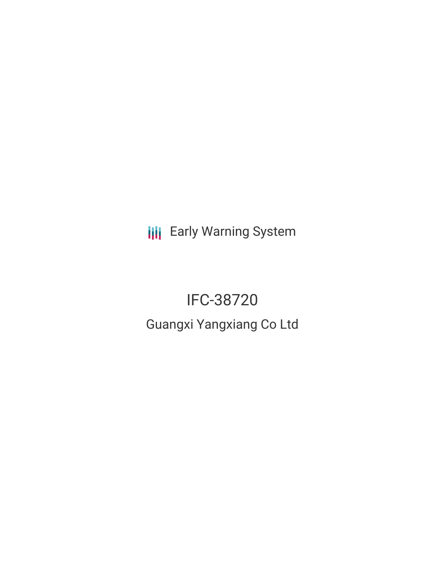**III** Early Warning System

IFC-38720 Guangxi Yangxiang Co Ltd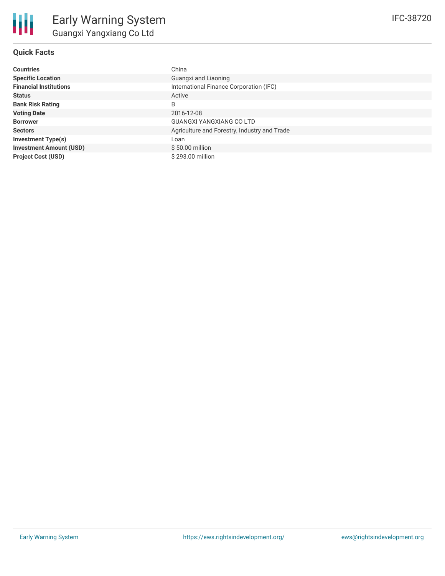## **Quick Facts**

| <b>Countries</b>               | China                                        |
|--------------------------------|----------------------------------------------|
| <b>Specific Location</b>       | Guangxi and Liaoning                         |
| <b>Financial Institutions</b>  | International Finance Corporation (IFC)      |
| <b>Status</b>                  | Active                                       |
| <b>Bank Risk Rating</b>        | B                                            |
| <b>Voting Date</b>             | 2016-12-08                                   |
| <b>Borrower</b>                | <b>GUANGXI YANGXIANG CO LTD</b>              |
| <b>Sectors</b>                 | Agriculture and Forestry, Industry and Trade |
| <b>Investment Type(s)</b>      | Loan                                         |
| <b>Investment Amount (USD)</b> | $$50.00$ million                             |
| <b>Project Cost (USD)</b>      | $$293.00$ million                            |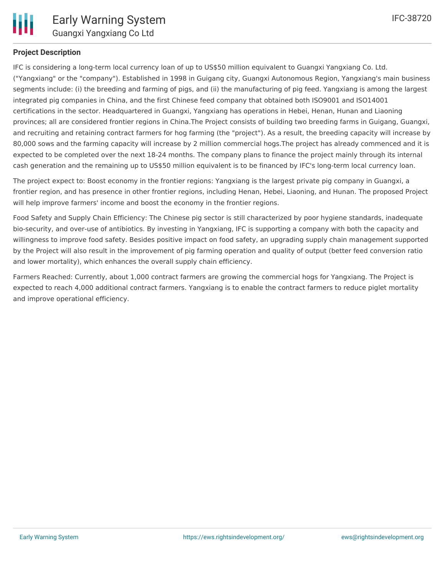

## **Project Description**

IFC is considering a long-term local currency loan of up to US\$50 million equivalent to Guangxi Yangxiang Co. Ltd. ("Yangxiang" or the "company"). Established in 1998 in Guigang city, Guangxi Autonomous Region, Yangxiang's main business segments include: (i) the breeding and farming of pigs, and (ii) the manufacturing of pig feed. Yangxiang is among the largest integrated pig companies in China, and the first Chinese feed company that obtained both ISO9001 and ISO14001 certifications in the sector. Headquartered in Guangxi, Yangxiang has operations in Hebei, Henan, Hunan and Liaoning provinces; all are considered frontier regions in China.The Project consists of building two breeding farms in Guigang, Guangxi, and recruiting and retaining contract farmers for hog farming (the "project"). As a result, the breeding capacity will increase by 80,000 sows and the farming capacity will increase by 2 million commercial hogs.The project has already commenced and it is expected to be completed over the next 18-24 months. The company plans to finance the project mainly through its internal cash generation and the remaining up to US\$50 million equivalent is to be financed by IFC's long-term local currency loan.

The project expect to: Boost economy in the frontier regions: Yangxiang is the largest private pig company in Guangxi, a frontier region, and has presence in other frontier regions, including Henan, Hebei, Liaoning, and Hunan. The proposed Project will help improve farmers' income and boost the economy in the frontier regions.

Food Safety and Supply Chain Efficiency: The Chinese pig sector is still characterized by poor hygiene standards, inadequate bio-security, and over-use of antibiotics. By investing in Yangxiang, IFC is supporting a company with both the capacity and willingness to improve food safety. Besides positive impact on food safety, an upgrading supply chain management supported by the Project will also result in the improvement of pig farming operation and quality of output (better feed conversion ratio and lower mortality), which enhances the overall supply chain efficiency.

Farmers Reached: Currently, about 1,000 contract farmers are growing the commercial hogs for Yangxiang. The Project is expected to reach 4,000 additional contract farmers. Yangxiang is to enable the contract farmers to reduce piglet mortality and improve operational efficiency.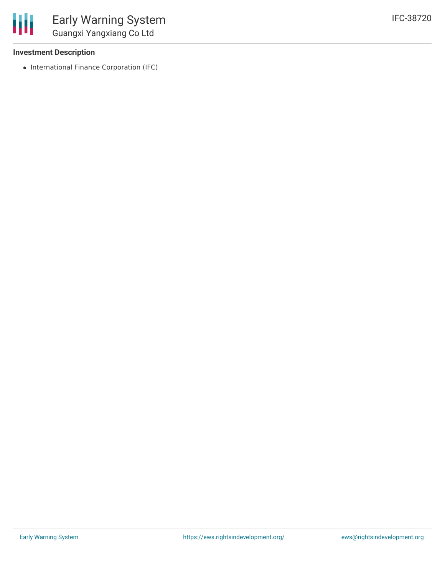#### **Investment Description**

• International Finance Corporation (IFC)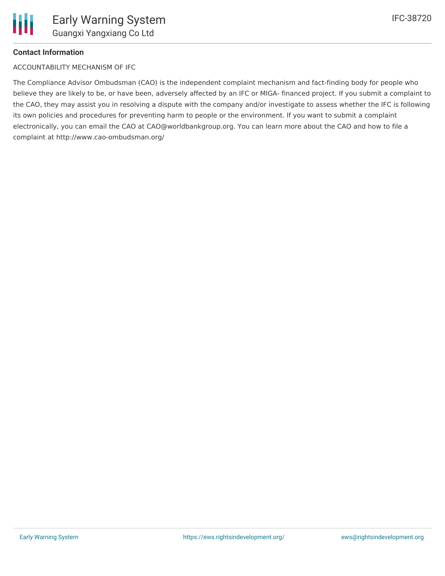

#### **Contact Information**

ACCOUNTABILITY MECHANISM OF IFC

The Compliance Advisor Ombudsman (CAO) is the independent complaint mechanism and fact-finding body for people who believe they are likely to be, or have been, adversely affected by an IFC or MIGA- financed project. If you submit a complaint to the CAO, they may assist you in resolving a dispute with the company and/or investigate to assess whether the IFC is following its own policies and procedures for preventing harm to people or the environment. If you want to submit a complaint electronically, you can email the CAO at CAO@worldbankgroup.org. You can learn more about the CAO and how to file a complaint at http://www.cao-ombudsman.org/